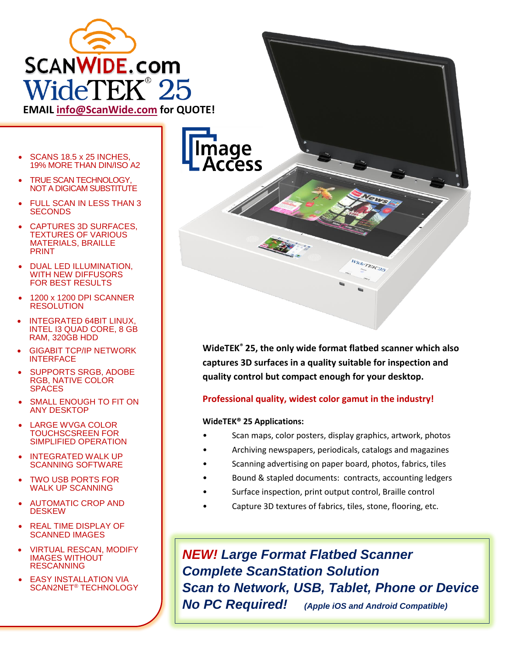

**EMAIL [info@ScanWide.com](mailto:info@ScanWide.com) for QUOTE!**

- SCANS 18.5 x 25 INCHES. 19% MORE THAN DIN/ISO A2
- **TRUE SCAN TECHNOLOGY.** NOT A DIGICAM SUBSTITUTE
- FULL SCAN IN LESS THAN 3 **SECONDS**
- CAPTURES 3D SURFACES, TEXTURES OF VARIOUS MATERIALS, BRAILLE PRINT
- DUAL LED ILLUMINATION, WITH NEW DIFFUSORS FOR BEST RESULTS
- 1200 x 1200 DPI SCANNER RESOLUTION
- INTEGRATED 64BIT LINUX, INTEL I3 QUAD CORE, 8 GB RAM, 320GB HDD
- GIGABIT TCP/IP NETWORK **INTERFACE**
- SUPPORTS SRGB, ADOBE RGB, NATIVE COLOR **SPACES**
- SMALL ENOUGH TO FIT ON ANY DESKTOP
- LARGE WVGA COLOR TOUCHSCSREEN FOR SIMPLIFIED OPERATION
- INTEGRATED WALK UP SCANNING SOFTWARE
- TWO USB PORTS FOR WALK UP SCANNING
- AUTOMATIC CROP AND **DESKEW**
- REAL TIME DISPLAY OF SCANNED IMAGES
- VIRTUAL RESCAN, MODIFY IMAGES WITHOUT RESCANNING
- **EASY INSTALLATION VIA** SCAN2NET® TECHNOLOGY



**WideTEK® 25, the only wide format flatbed scanner which also captures 3D surfaces in a quality suitable for inspection and quality control but compact enough for your desktop.**

## **Professional quality, widest color gamut in the industry!**

## **WideTEK® 25 Applications:**

- Scan maps, color posters, display graphics, artwork, photos
- Archiving newspapers, periodicals, catalogs and magazines
- Scanning advertising on paper board, photos, fabrics, tiles
- Bound & stapled documents: contracts, accounting ledgers
- Surface inspection, print output control, Braille control
- Capture 3D textures of fabrics, tiles, stone, flooring, etc.

*NEW! Large Format Flatbed Scanner Complete ScanStation Solution Scan to Network, USB, Tablet, Phone or Device No PC Required! (Apple iOS and Android Compatible)*